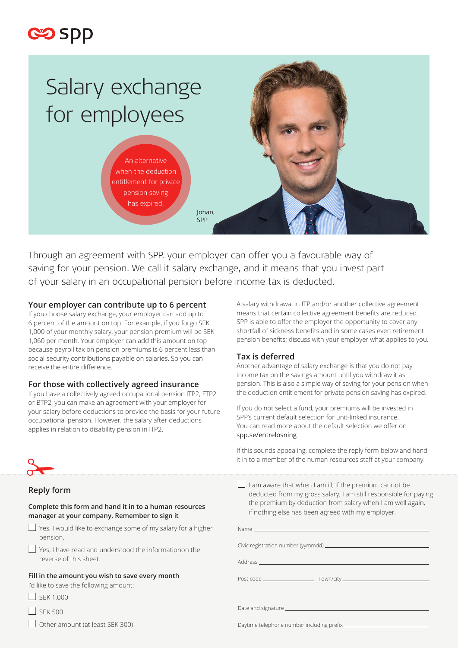

# Salary exchange for employees

An alternative when the deduction entitlement for private pension saving has expired.



Through an agreement with SPP, your employer can offer you a favourable way of saving for your pension. We call it salary exchange, and it means that you invest part of your salary in an occupational pension before income tax is deducted.

Johan, SPP

## **Your employer can contribute up to 6 percent**

If you choose salary exchange, your employer can add up to 6 percent of the amount on top. For example, if you forgo SEK 1,000 of your monthly salary, your pension premium will be SEK 1,060 per month. Your employer can add this amount on top because payroll tax on pension premiums is 6 percent less than social security contributions payable on salaries. So you can receive the entire difference.

# **For those with collectively agreed insurance**

If you have a collectively agreed occupational pension ITP2, FTP2 or BTP2, you can make an agreement with your employer for your salary before deductions to provide the basis for your future occupational pension. However, the salary after deductions applies in relation to disability pension in ITP2.

A salary withdrawal in ITP and/or another collective agreement means that certain collective agreement benefits are reduced. SPP is able to offer the employer the opportunity to cover any shortfall of sickness benefits and in some cases even retirement pension benefits; discuss with your employer what applies to you.

# **Tax is deferred**

Another advantage of salary exchange is that you do not pay income tax on the savings amount until you withdraw it as pension. This is also a simple way of saving for your pension when the deduction entitlement for private pension saving has expired.

If you do not select a fund, your premiums will be invested in SPP's current default selection for unit-linked insurance. You can read more about the default selection we offer on spp.se/entrelosning.

If this sounds appealing, complete the reply form below and hand it in to a member of the human resources staff at your company.

# **Reply form**

 $\frac{8}{10}$ 

#### **Complete this form and hand it in to a human resources manager at your company. Remember to sign it**

- $\Box$  Yes, I would like to exchange some of my salary for a higher pension.
- Yes, I have read and understood the informationon the reverse of this sheet.

#### **Fill in the amount you wish to save every month**

I'd like to save the following amount:

- $\Box$  SEK 1,000
- SEK 500
- Other amount (at least SEK 300)

 $\Box$  I am aware that when I am ill, if the premium cannot be deducted from my gross salary, I am still responsible for paying the premium by deduction from salary when I am well again, if nothing else has been agreed with my employer.

Daytime telephone number including prefix